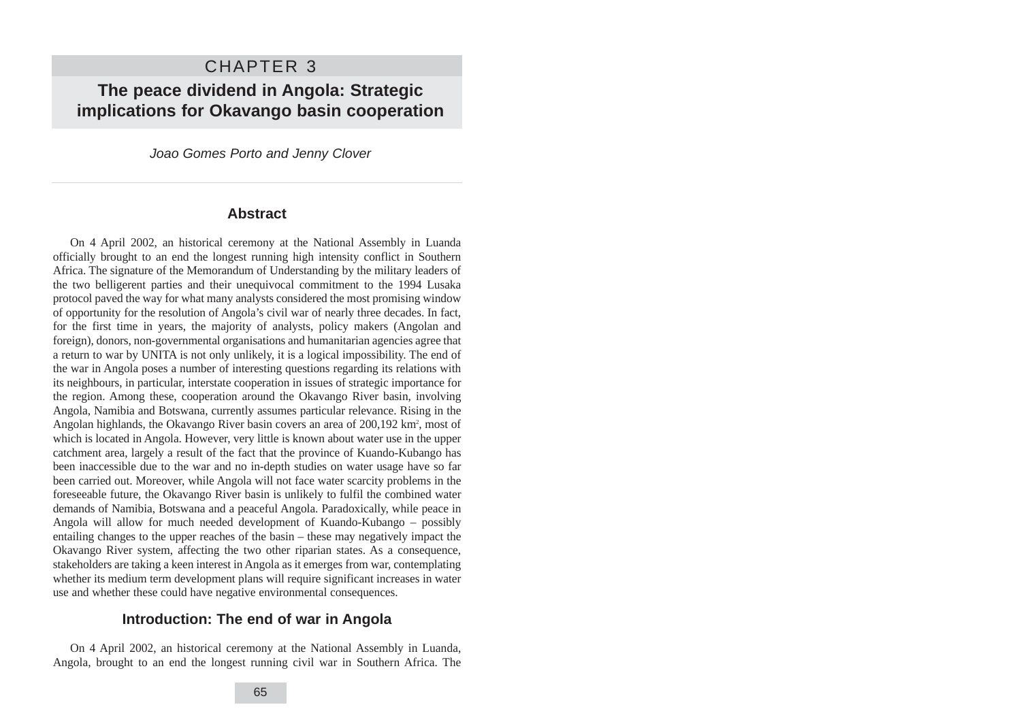# CHAPTER 3

**The peace dividend in Angola: Strategic implications for Okavango basin cooperation**

Joao Gomes Porto and Jenny Clover

### **Abstract**

On 4 April 2002, an historical ceremony at the National Assembly in Luanda officially brought to an end the longest running high intensity conflict in Southern Africa. The signature of the Memorandum of Understanding by the military leaders of the two belligerent parties and their unequivocal commitment to the 1994 Lusaka protocol paved the way for what many analysts considered the most promising window of opportunity for the resolution of Angola's civil war of nearly three decades. In fact, for the first time in years, the majority of analysts, policy makers (Angolan and foreign), donors, non-governmental organisations and humanitarian agencies agree that a return to war by UNITA is not only unlikely, it is a logical impossibility. The end of the war in Angola poses a number of interesting questions regarding its relations with its neighbours, in particular, interstate cooperation in issues of strategic importance for the region. Among these, cooperation around the Okavango River basin, involving Angola, Namibia and Botswana, currently assumes particular relevance. Rising in the Angolan highlands, the Okavango River basin covers an area of 200,192 km<sup>2</sup>, most of which is located in Angola. However, very little is known about water use in the upper catchment area, largely a result of the fact that the province of Kuando-Kubango has been inaccessible due to the war and no in-depth studies on water usage have so far been carried out. Moreover, while Angola will not face water scarcity problems in the foreseeable future, the Okavango River basin is unlikely to fulfil the combined water demands of Namibia, Botswana and a peaceful Angola. Paradoxically, while peace in Angola will allow for much needed development of Kuando-Kubango – possibly entailing changes to the upper reaches of the basin – these may negatively impact the Okavango River system, affecting the two other riparian states. As a consequence, stakeholders are taking a keen interest in Angola as it emerges from war, contemplating whether its medium term development plans will require significant increases in water use and whether these could have negative environmental consequences.

### **Introduction: The end of war in Angola**

On 4 April 2002, an historical ceremony at the National Assembly in Luanda, Angola, brought to an end the longest running civil war in Southern Africa. The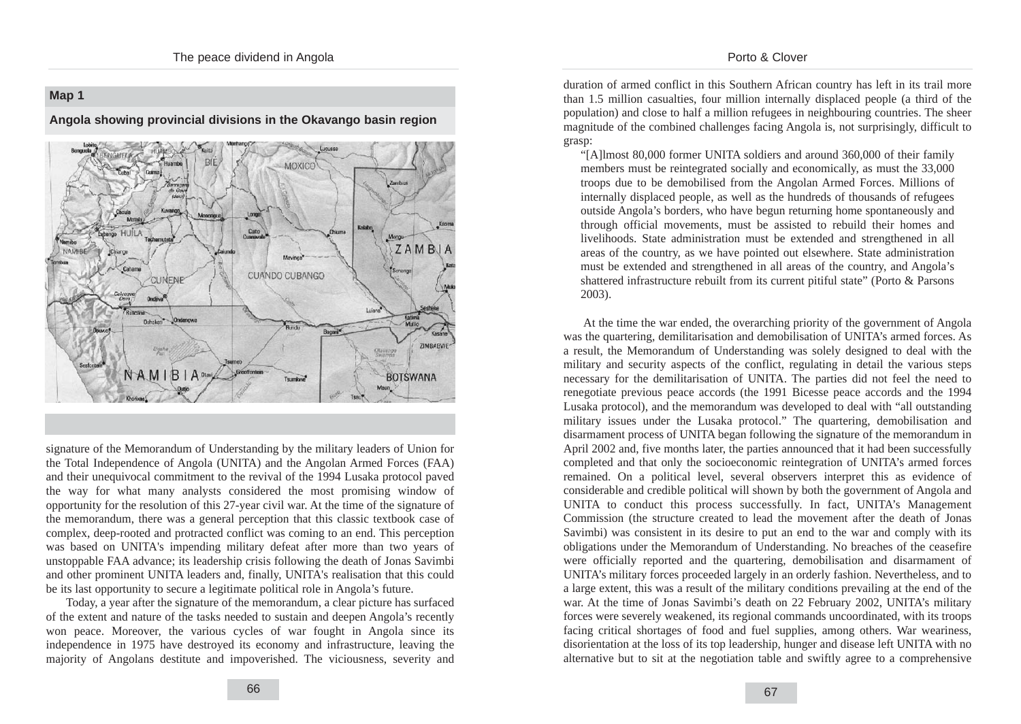# **Map 1**

**Angola showing provincial divisions in the Okavango basin region**



signature of the Memorandum of Understanding by the military leaders of Union for the Total Independence of Angola (UNITA) and the Angolan Armed Forces (FAA) and their unequivocal commitment to the revival of the 1994 Lusaka protocol paved the way for what many analysts considered the most promising window of opportunity for the resolution of this 27-year civil war. At the time of the signature of the memorandum, there was a general perception that this classic textbook case of complex, deep-rooted and protracted conflict was coming to an end. This perception was based on UNITA's impending military defeat after more than two years of unstoppable FAA advance; its leadership crisis following the death of Jonas Savimbi and other prominent UNITA leaders and, finally, UNITA's realisation that this could be its last opportunity to secure a legitimate political role in Angola's future.

Today, a year after the signature of the memorandum, a clear picture has surfaced of the extent and nature of the tasks needed to sustain and deepen Angola's recently won peace. Moreover, the various cycles of war fought in Angola since its independence in 1975 have destroyed its economy and infrastructure, leaving the majority of Angolans destitute and impoverished. The viciousness, severity and

duration of armed conflict in this Southern African country has left in its trail more than 1.5 million casualties, four million internally displaced people (a third of the population) and close to half a million refugees in neighbouring countries. The sheer magnitude of the combined challenges facing Angola is, not surprisingly, difficult to grasp:

"[A]lmost 80,000 former UNITA soldiers and around 360,000 of their family members must be reintegrated socially and economically, as must the 33,000 troops due to be demobilised from the Angolan Armed Forces. Millions of internally displaced people, as well as the hundreds of thousands of refugees outside Angola's borders, who have begun returning home spontaneously and through official movements, must be assisted to rebuild their homes and livelihoods. State administration must be extended and strengthened in all areas of the country, as we have pointed out elsewhere. State administration must be extended and strengthened in all areas of the country, and Angola's shattered infrastructure rebuilt from its current pitiful state" (Porto & Parsons 2003).

At the time the war ended, the overarching priority of the government of Angola was the quartering, demilitarisation and demobilisation of UNITA's armed forces. As a result, the Memorandum of Understanding was solely designed to deal with the military and security aspects of the conflict, regulating in detail the various steps necessary for the demilitarisation of UNITA. The parties did not feel the need to renegotiate previous peace accords (the 1991 Bicesse peace accords and the 1994 Lusaka protocol), and the memorandum was developed to deal with "all outstanding military issues under the Lusaka protocol." The quartering, demobilisation and disarmament process of UNITA began following the signature of the memorandum in April 2002 and, five months later, the parties announced that it had been successfully completed and that only the socioeconomic reintegration of UNITA's armed forces remained. On a political level, several observers interpret this as evidence of considerable and credible political will shown by both the government of Angola and UNITA to conduct this process successfully. In fact, UNITA's Management Commission (the structure created to lead the movement after the death of Jonas Savimbi) was consistent in its desire to put an end to the war and comply with its obligations under the Memorandum of Understanding. No breaches of the ceasefire were officially reported and the quartering, demobilisation and disarmament of UNITA's military forces proceeded largely in an orderly fashion. Nevertheless, and to a large extent, this was a result of the military conditions prevailing at the end of the war. At the time of Jonas Savimbi's death on 22 February 2002, UNITA's military forces were severely weakened, its regional commands uncoordinated, with its troops facing critical shortages of food and fuel supplies, among others. War weariness, disorientation at the loss of its top leadership, hunger and disease left UNITA with no alternative but to sit at the negotiation table and swiftly agree to a comprehensive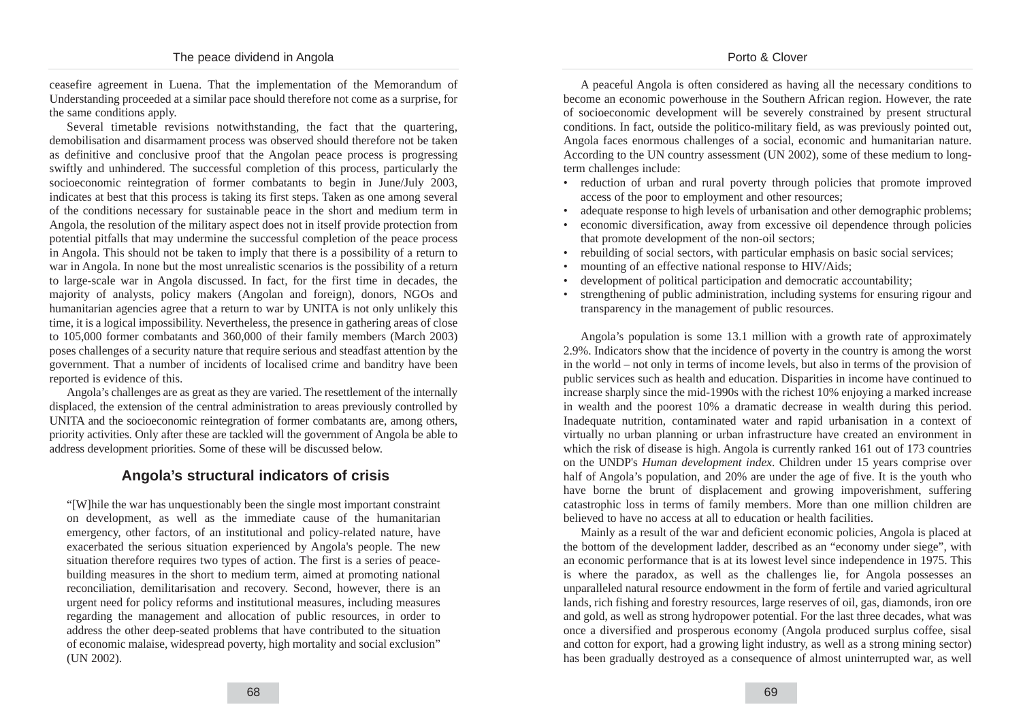ceasefire agreement in Luena. That the implementation of the Memorandum of Understanding proceeded at a similar pace should therefore not come as a surprise, for the same conditions apply.

Several timetable revisions notwithstanding, the fact that the quartering, demobilisation and disarmament process was observed should therefore not be taken as definitive and conclusive proof that the Angolan peace process is progressing swiftly and unhindered. The successful completion of this process, particularly the socioeconomic reintegration of former combatants to begin in June/July 2003, indicates at best that this process is taking its first steps. Taken as one among several of the conditions necessary for sustainable peace in the short and medium term in Angola, the resolution of the military aspect does not in itself provide protection from potential pitfalls that may undermine the successful completion of the peace process in Angola. This should not be taken to imply that there is a possibility of a return to war in Angola. In none but the most unrealistic scenarios is the possibility of a return to large-scale war in Angola discussed. In fact, for the first time in decades, the majority of analysts, policy makers (Angolan and foreign), donors, NGOs and humanitarian agencies agree that a return to war by UNITA is not only unlikely this time, it is a logical impossibility. Nevertheless, the presence in gathering areas of close to 105,000 former combatants and 360,000 of their family members (March 2003) poses challenges of a security nature that require serious and steadfast attention by the government. That a number of incidents of localised crime and banditry have been reported is evidence of this.

Angola's challenges are as great as they are varied. The resettlement of the internally displaced, the extension of the central administration to areas previously controlled by UNITA and the socioeconomic reintegration of former combatants are, among others, priority activities. Only after these are tackled will the government of Angola be able to address development priorities. Some of these will be discussed below.

# **Angola's structural indicators of crisis**

"[W]hile the war has unquestionably been the single most important constraint on development, as well as the immediate cause of the humanitarian emergency, other factors, of an institutional and policy-related nature, have exacerbated the serious situation experienced by Angola's people. The new situation therefore requires two types of action. The first is a series of peacebuilding measures in the short to medium term, aimed at promoting national reconciliation, demilitarisation and recovery. Second, however, there is an urgent need for policy reforms and institutional measures, including measures regarding the management and allocation of public resources, in order to address the other deep-seated problems that have contributed to the situation of economic malaise, widespread poverty, high mortality and social exclusion" (UN 2002).

A peaceful Angola is often considered as having all the necessary conditions to become an economic powerhouse in the Southern African region. However, the rate of socioeconomic development will be severely constrained by present structural conditions. In fact, outside the politico-military field, as was previously pointed out, Angola faces enormous challenges of a social, economic and humanitarian nature. According to the UN country assessment (UN 2002), some of these medium to longterm challenges include:

Porto & Clover

- reduction of urban and rural poverty through policies that promote improved access of the poor to employment and other resources;
- adequate response to high levels of urbanisation and other demographic problems;
- economic diversification, away from excessive oil dependence through policies that promote development of the non-oil sectors;
- rebuilding of social sectors, with particular emphasis on basic social services;
- mounting of an effective national response to HIV/Aids;
- development of political participation and democratic accountability;
- strengthening of public administration, including systems for ensuring rigour and transparency in the management of public resources.

Angola's population is some 13.1 million with a growth rate of approximately 2.9%. Indicators show that the incidence of poverty in the country is among the worst in the world – not only in terms of income levels, but also in terms of the provision of public services such as health and education. Disparities in income have continued to increase sharply since the mid-1990s with the richest 10% enjoying a marked increase in wealth and the poorest 10% a dramatic decrease in wealth during this period. Inadequate nutrition, contaminated water and rapid urbanisation in a context of virtually no urban planning or urban infrastructure have created an environment in which the risk of disease is high. Angola is currently ranked 161 out of 173 countries on the UNDP's *Human development index*. Children under 15 years comprise over half of Angola's population, and 20% are under the age of five. It is the youth who have borne the brunt of displacement and growing impoverishment, suffering catastrophic loss in terms of family members. More than one million children are believed to have no access at all to education or health facilities.

Mainly as a result of the war and deficient economic policies, Angola is placed at the bottom of the development ladder, described as an "economy under siege", with an economic performance that is at its lowest level since independence in 1975. This is where the paradox, as well as the challenges lie, for Angola possesses an unparalleled natural resource endowment in the form of fertile and varied agricultural lands, rich fishing and forestry resources, large reserves of oil, gas, diamonds, iron ore and gold, as well as strong hydropower potential. For the last three decades, what was once a diversified and prosperous economy (Angola produced surplus coffee, sisal and cotton for export, had a growing light industry, as well as a strong mining sector) has been gradually destroyed as a consequence of almost uninterrupted war, as well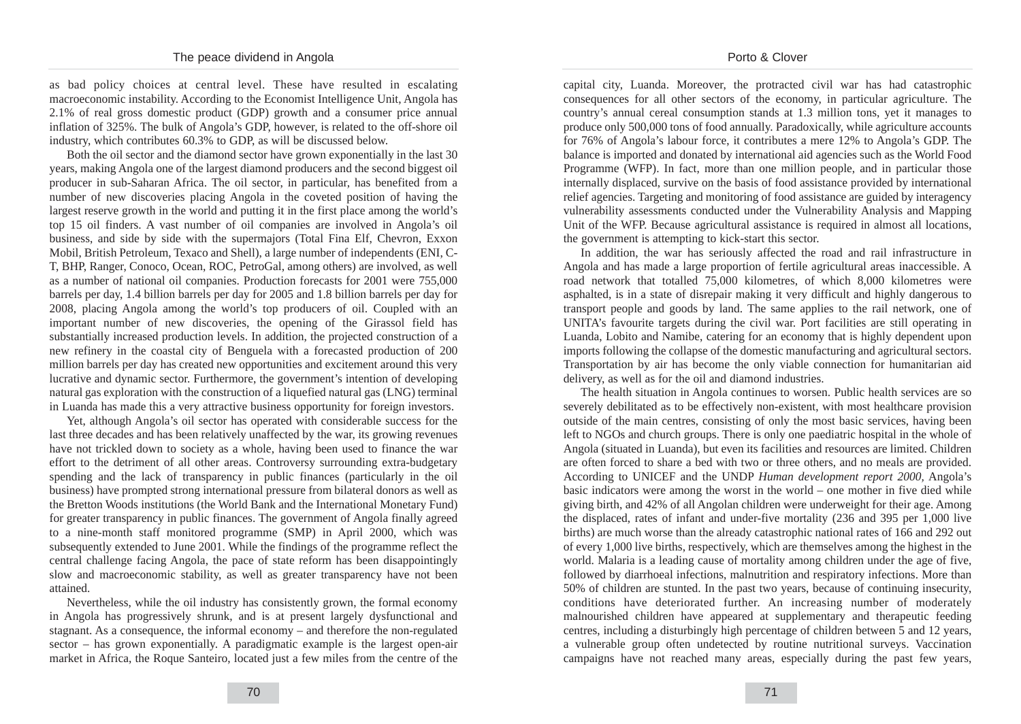as bad policy choices at central level. These have resulted in escalating macroeconomic instability. According to the Economist Intelligence Unit, Angola has 2.1% of real gross domestic product (GDP) growth and a consumer price annual inflation of 325%. The bulk of Angola's GDP, however, is related to the off-shore oil industry, which contributes 60.3% to GDP, as will be discussed below.

Both the oil sector and the diamond sector have grown exponentially in the last 30 years, making Angola one of the largest diamond producers and the second biggest oil producer in sub-Saharan Africa. The oil sector, in particular, has benefited from a number of new discoveries placing Angola in the coveted position of having the largest reserve growth in the world and putting it in the first place among the world's top 15 oil finders. A vast number of oil companies are involved in Angola's oil business, and side by side with the supermajors (Total Fina Elf, Chevron, Exxon Mobil, British Petroleum, Texaco and Shell), a large number of independents (ENI, C-T, BHP, Ranger, Conoco, Ocean, ROC, PetroGal, among others) are involved, as well as a number of national oil companies. Production forecasts for 2001 were 755,000 barrels per day, 1.4 billion barrels per day for 2005 and 1.8 billion barrels per day for 2008, placing Angola among the world's top producers of oil. Coupled with an important number of new discoveries, the opening of the Girassol field has substantially increased production levels. In addition, the projected construction of a new refinery in the coastal city of Benguela with a forecasted production of 200 million barrels per day has created new opportunities and excitement around this very lucrative and dynamic sector. Furthermore, the government's intention of developing natural gas exploration with the construction of a liquefied natural gas (LNG) terminal in Luanda has made this a very attractive business opportunity for foreign investors.

Yet, although Angola's oil sector has operated with considerable success for the last three decades and has been relatively unaffected by the war, its growing revenues have not trickled down to society as a whole, having been used to finance the war effort to the detriment of all other areas. Controversy surrounding extra-budgetary spending and the lack of transparency in public finances (particularly in the oil business) have prompted strong international pressure from bilateral donors as well as the Bretton Woods institutions (the World Bank and the International Monetary Fund) for greater transparency in public finances. The government of Angola finally agreed to a nine-month staff monitored programme (SMP) in April 2000, which was subsequently extended to June 2001. While the findings of the programme reflect the central challenge facing Angola, the pace of state reform has been disappointingly slow and macroeconomic stability, as well as greater transparency have not been attained.

Nevertheless, while the oil industry has consistently grown, the formal economy in Angola has progressively shrunk, and is at present largely dysfunctional and stagnant. As a consequence, the informal economy – and therefore the non-regulated sector – has grown exponentially. A paradigmatic example is the largest open-air market in Africa, the Roque Santeiro, located just a few miles from the centre of the capital city, Luanda. Moreover, the protracted civil war has had catastrophic consequences for all other sectors of the economy, in particular agriculture. The country's annual cereal consumption stands at 1.3 million tons, yet it manages to produce only 500,000 tons of food annually. Paradoxically, while agriculture accounts for 76% of Angola's labour force, it contributes a mere 12% to Angola's GDP. The balance is imported and donated by international aid agencies such as the World Food Programme (WFP). In fact, more than one million people, and in particular those internally displaced, survive on the basis of food assistance provided by international relief agencies. Targeting and monitoring of food assistance are guided by interagency vulnerability assessments conducted under the Vulnerability Analysis and Mapping Unit of the WFP. Because agricultural assistance is required in almost all locations, the government is attempting to kick-start this sector.

In addition, the war has seriously affected the road and rail infrastructure in Angola and has made a large proportion of fertile agricultural areas inaccessible. A road network that totalled 75,000 kilometres, of which 8,000 kilometres were asphalted, is in a state of disrepair making it very difficult and highly dangerous to transport people and goods by land. The same applies to the rail network, one of UNITA's favourite targets during the civil war. Port facilities are still operating in Luanda, Lobito and Namibe, catering for an economy that is highly dependent upon imports following the collapse of the domestic manufacturing and agricultural sectors. Transportation by air has become the only viable connection for humanitarian aid delivery, as well as for the oil and diamond industries.

The health situation in Angola continues to worsen. Public health services are so severely debilitated as to be effectively non-existent, with most healthcare provision outside of the main centres, consisting of only the most basic services, having been left to NGOs and church groups. There is only one paediatric hospital in the whole of Angola (situated in Luanda), but even its facilities and resources are limited. Children are often forced to share a bed with two or three others, and no meals are provided. According to UNICEF and the UNDP *Human development report 2000,* Angola's basic indicators were among the worst in the world – one mother in five died while giving birth, and 42% of all Angolan children were underweight for their age. Among the displaced, rates of infant and under-five mortality (236 and 395 per 1,000 live births) are much worse than the already catastrophic national rates of 166 and 292 out of every 1,000 live births, respectively, which are themselves among the highest in the world. Malaria is a leading cause of mortality among children under the age of five, followed by diarrhoeal infections, malnutrition and respiratory infections. More than 50% of children are stunted. In the past two years, because of continuing insecurity, conditions have deteriorated further. An increasing number of moderately malnourished children have appeared at supplementary and therapeutic feeding centres, including a disturbingly high percentage of children between 5 and 12 years, a vulnerable group often undetected by routine nutritional surveys. Vaccination campaigns have not reached many areas, especially during the past few years,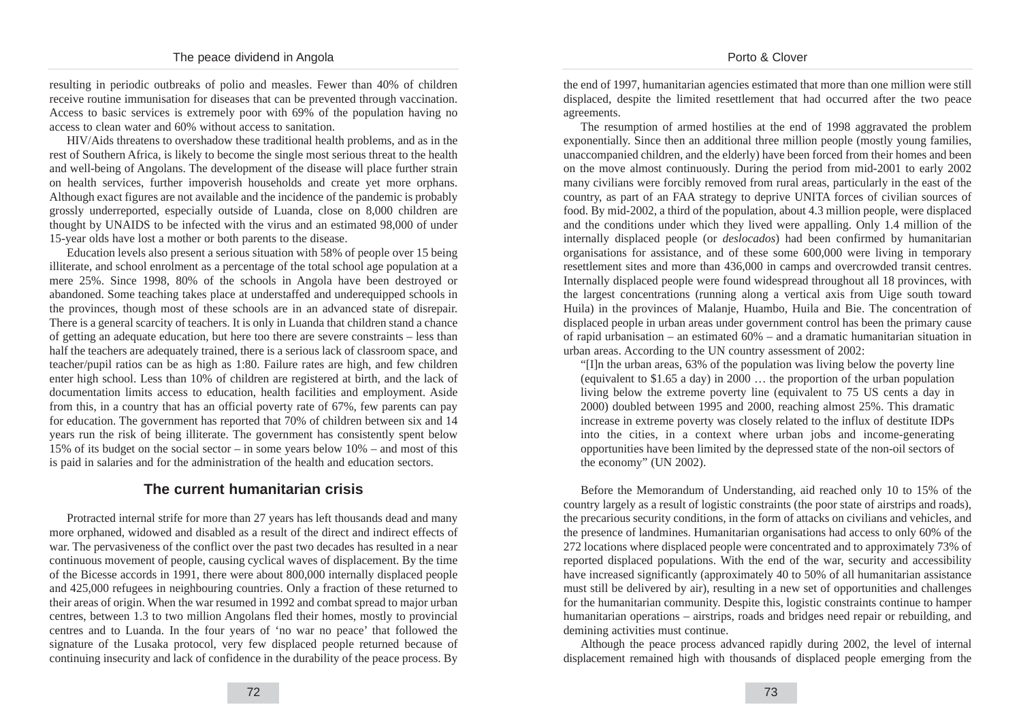#### The peace dividend in Angola

resulting in periodic outbreaks of polio and measles. Fewer than 40% of children receive routine immunisation for diseases that can be prevented through vaccination. Access to basic services is extremely poor with 69% of the population having no access to clean water and 60% without access to sanitation.

HIV/Aids threatens to overshadow these traditional health problems, and as in the rest of Southern Africa, is likely to become the single most serious threat to the health and well-being of Angolans. The development of the disease will place further strain on health services, further impoverish households and create yet more orphans. Although exact figures are not available and the incidence of the pandemic is probably grossly underreported, especially outside of Luanda, close on 8,000 children are thought by UNAIDS to be infected with the virus and an estimated 98,000 of under 15-year olds have lost a mother or both parents to the disease.

Education levels also present a serious situation with 58% of people over 15 being illiterate, and school enrolment as a percentage of the total school age population at a mere 25%. Since 1998, 80% of the schools in Angola have been destroyed or abandoned. Some teaching takes place at understaffed and underequipped schools in the provinces, though most of these schools are in an advanced state of disrepair. There is a general scarcity of teachers. It is only in Luanda that children stand a chance of getting an adequate education, but here too there are severe constraints – less than half the teachers are adequately trained, there is a serious lack of classroom space, and teacher/pupil ratios can be as high as 1:80. Failure rates are high, and few children enter high school. Less than 10% of children are registered at birth, and the lack of documentation limits access to education, health facilities and employment. Aside from this, in a country that has an official poverty rate of 67%, few parents can pay for education. The government has reported that 70% of children between six and 14 years run the risk of being illiterate. The government has consistently spent below 15% of its budget on the social sector – in some years below 10% – and most of this is paid in salaries and for the administration of the health and education sectors.

# **The current humanitarian crisis**

Protracted internal strife for more than 27 years has left thousands dead and many more orphaned, widowed and disabled as a result of the direct and indirect effects of war. The pervasiveness of the conflict over the past two decades has resulted in a near continuous movement of people, causing cyclical waves of displacement. By the time of the Bicesse accords in 1991, there were about 800,000 internally displaced people and 425,000 refugees in neighbouring countries. Only a fraction of these returned to their areas of origin. When the war resumed in 1992 and combat spread to major urban centres, between 1.3 to two million Angolans fled their homes, mostly to provincial centres and to Luanda. In the four years of 'no war no peace' that followed the signature of the Lusaka protocol, very few displaced people returned because of continuing insecurity and lack of confidence in the durability of the peace process. By the end of 1997, humanitarian agencies estimated that more than one million were still displaced, despite the limited resettlement that had occurred after the two peace agreements.

The resumption of armed hostilies at the end of 1998 aggravated the problem exponentially. Since then an additional three million people (mostly young families, unaccompanied children, and the elderly) have been forced from their homes and been on the move almost continuously. During the period from mid-2001 to early 2002 many civilians were forcibly removed from rural areas, particularly in the east of the country, as part of an FAA strategy to deprive UNITA forces of civilian sources of food. By mid-2002, a third of the population, about 4.3 million people, were displaced and the conditions under which they lived were appalling. Only 1.4 million of the internally displaced people (or *deslocados*) had been confirmed by humanitarian organisations for assistance, and of these some 600,000 were living in temporary resettlement sites and more than 436,000 in camps and overcrowded transit centres. Internally displaced people were found widespread throughout all 18 provinces, with the largest concentrations (running along a vertical axis from Uige south toward Huila) in the provinces of Malanje, Huambo, Huila and Bie. The concentration of displaced people in urban areas under government control has been the primary cause of rapid urbanisation – an estimated 60% – and a dramatic humanitarian situation in urban areas. According to the UN country assessment of 2002:

"[I]n the urban areas, 63% of the population was living below the poverty line (equivalent to \$1.65 a day) in 2000 … the proportion of the urban population living below the extreme poverty line (equivalent to 75 US cents a day in 2000) doubled between 1995 and 2000, reaching almost 25%. This dramatic increase in extreme poverty was closely related to the influx of destitute IDPs into the cities, in a context where urban jobs and income-generating opportunities have been limited by the depressed state of the non-oil sectors of the economy" (UN 2002).

Before the Memorandum of Understanding, aid reached only 10 to 15% of the country largely as a result of logistic constraints (the poor state of airstrips and roads), the precarious security conditions, in the form of attacks on civilians and vehicles, and the presence of landmines. Humanitarian organisations had access to only 60% of the 272 locations where displaced people were concentrated and to approximately 73% of reported displaced populations. With the end of the war, security and accessibility have increased significantly (approximately 40 to 50% of all humanitarian assistance must still be delivered by air), resulting in a new set of opportunities and challenges for the humanitarian community. Despite this, logistic constraints continue to hamper humanitarian operations – airstrips, roads and bridges need repair or rebuilding, and demining activities must continue.

Although the peace process advanced rapidly during 2002, the level of internal displacement remained high with thousands of displaced people emerging from the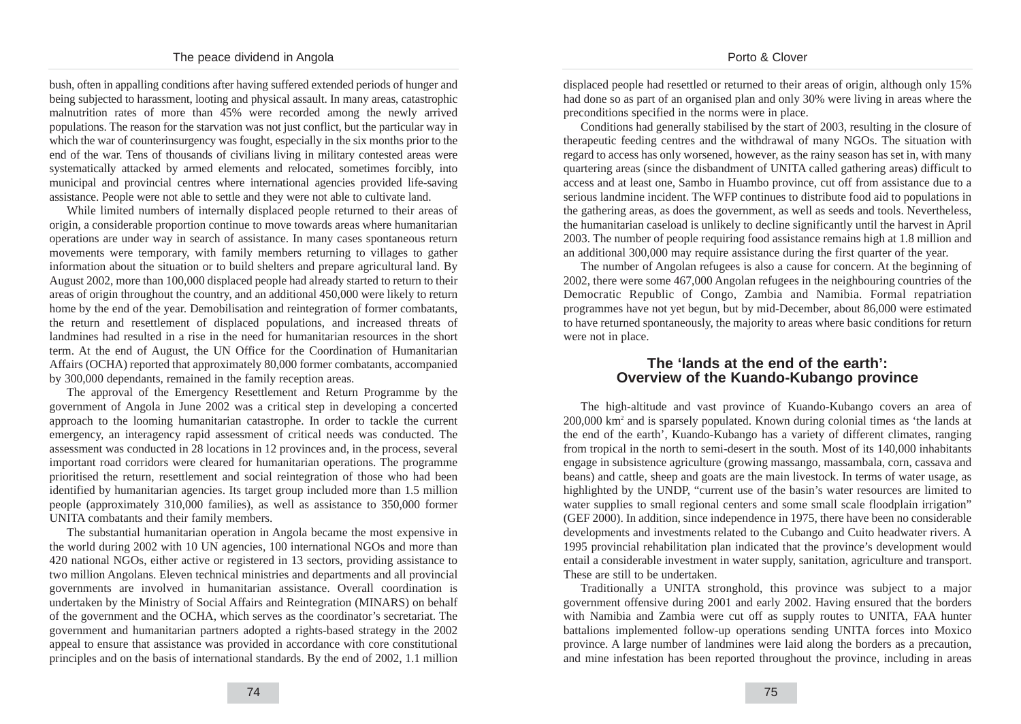#### Porto & Clover

bush, often in appalling conditions after having suffered extended periods of hunger and being subjected to harassment, looting and physical assault. In many areas, catastrophic malnutrition rates of more than 45% were recorded among the newly arrived populations. The reason for the starvation was not just conflict, but the particular way in which the war of counterinsurgency was fought, especially in the six months prior to the end of the war. Tens of thousands of civilians living in military contested areas were systematically attacked by armed elements and relocated, sometimes forcibly, into municipal and provincial centres where international agencies provided life-saving assistance. People were not able to settle and they were not able to cultivate land.

While limited numbers of internally displaced people returned to their areas of origin, a considerable proportion continue to move towards areas where humanitarian operations are under way in search of assistance. In many cases spontaneous return movements were temporary, with family members returning to villages to gather information about the situation or to build shelters and prepare agricultural land. By August 2002, more than 100,000 displaced people had already started to return to their areas of origin throughout the country, and an additional 450,000 were likely to return home by the end of the year. Demobilisation and reintegration of former combatants, the return and resettlement of displaced populations, and increased threats of landmines had resulted in a rise in the need for humanitarian resources in the short term. At the end of August, the UN Office for the Coordination of Humanitarian Affairs (OCHA) reported that approximately 80,000 former combatants, accompanied by 300,000 dependants, remained in the family reception areas.

The approval of the Emergency Resettlement and Return Programme by the government of Angola in June 2002 was a critical step in developing a concerted approach to the looming humanitarian catastrophe. In order to tackle the current emergency, an interagency rapid assessment of critical needs was conducted. The assessment was conducted in 28 locations in 12 provinces and, in the process, several important road corridors were cleared for humanitarian operations. The programme prioritised the return, resettlement and social reintegration of those who had been identified by humanitarian agencies. Its target group included more than 1.5 million people (approximately 310,000 families), as well as assistance to 350,000 former UNITA combatants and their family members.

The substantial humanitarian operation in Angola became the most expensive in the world during 2002 with 10 UN agencies, 100 international NGOs and more than 420 national NGOs, either active or registered in 13 sectors, providing assistance to two million Angolans. Eleven technical ministries and departments and all provincial governments are involved in humanitarian assistance. Overall coordination is undertaken by the Ministry of Social Affairs and Reintegration (MINARS) on behalf of the government and the OCHA, which serves as the coordinator's secretariat. The government and humanitarian partners adopted a rights-based strategy in the 2002 appeal to ensure that assistance was provided in accordance with core constitutional principles and on the basis of international standards. By the end of 2002, 1.1 million

displaced people had resettled or returned to their areas of origin, although only 15% had done so as part of an organised plan and only 30% were living in areas where the preconditions specified in the norms were in place.

Conditions had generally stabilised by the start of 2003, resulting in the closure of therapeutic feeding centres and the withdrawal of many NGOs. The situation with regard to access has only worsened, however, as the rainy season has set in, with many quartering areas (since the disbandment of UNITA called gathering areas) difficult to access and at least one, Sambo in Huambo province, cut off from assistance due to a serious landmine incident. The WFP continues to distribute food aid to populations in the gathering areas, as does the government, as well as seeds and tools. Nevertheless, the humanitarian caseload is unlikely to decline significantly until the harvest in April 2003. The number of people requiring food assistance remains high at 1.8 million and an additional 300,000 may require assistance during the first quarter of the year.

The number of Angolan refugees is also a cause for concern. At the beginning of 2002, there were some 467,000 Angolan refugees in the neighbouring countries of the Democratic Republic of Congo, Zambia and Namibia. Formal repatriation programmes have not yet begun, but by mid-December, about 86,000 were estimated to have returned spontaneously, the majority to areas where basic conditions for return were not in place.

### **The 'lands at the end of the earth': Overview of the Kuando-Kubango province**

The high-altitude and vast province of Kuando-Kubango covers an area of 200,000 km2 and is sparsely populated. Known during colonial times as 'the lands at the end of the earth', Kuando-Kubango has a variety of different climates, ranging from tropical in the north to semi-desert in the south. Most of its 140,000 inhabitants engage in subsistence agriculture (growing massango, massambala, corn, cassava and beans) and cattle, sheep and goats are the main livestock. In terms of water usage, as highlighted by the UNDP, "current use of the basin's water resources are limited to water supplies to small regional centers and some small scale floodplain irrigation" (GEF 2000). In addition, since independence in 1975, there have been no considerable developments and investments related to the Cubango and Cuito headwater rivers. A 1995 provincial rehabilitation plan indicated that the province's development would entail a considerable investment in water supply, sanitation, agriculture and transport. These are still to be undertaken.

Traditionally a UNITA stronghold, this province was subject to a major government offensive during 2001 and early 2002. Having ensured that the borders with Namibia and Zambia were cut off as supply routes to UNITA, FAA hunter battalions implemented follow-up operations sending UNITA forces into Moxico province. A large number of landmines were laid along the borders as a precaution, and mine infestation has been reported throughout the province, including in areas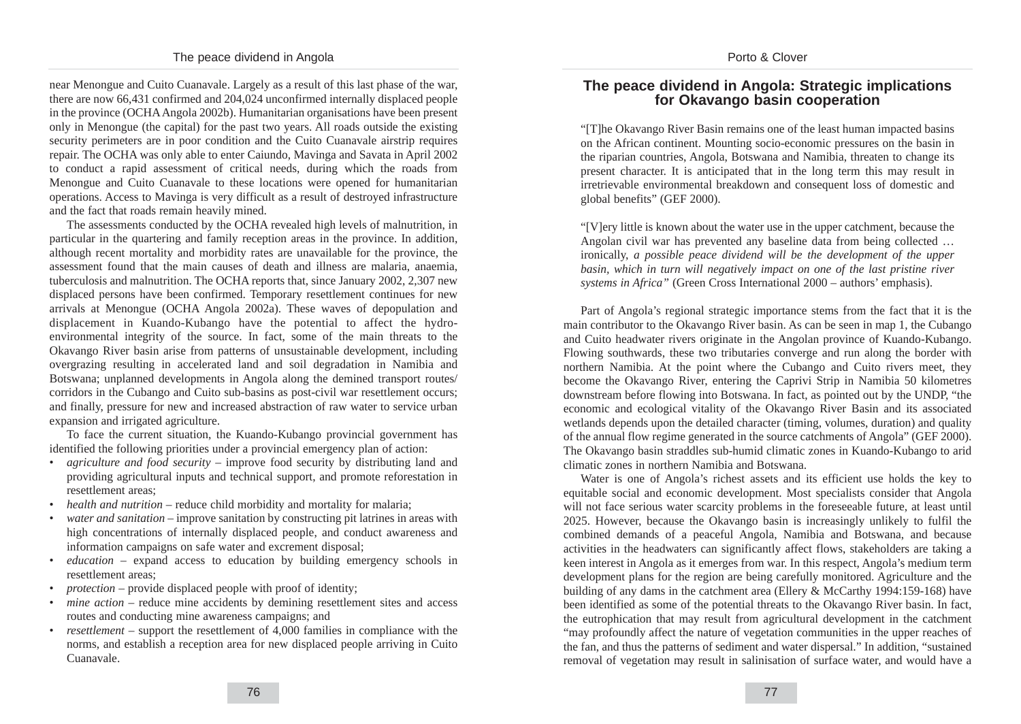near Menongue and Cuito Cuanavale. Largely as a result of this last phase of the war, there are now 66,431 confirmed and 204,024 unconfirmed internally displaced people in the province (OCHAAngola 2002b). Humanitarian organisations have been present only in Menongue (the capital) for the past two years. All roads outside the existing security perimeters are in poor condition and the Cuito Cuanavale airstrip requires repair. The OCHA was only able to enter Caiundo, Mavinga and Savata in April 2002 to conduct a rapid assessment of critical needs, during which the roads from Menongue and Cuito Cuanavale to these locations were opened for humanitarian operations. Access to Mavinga is very difficult as a result of destroyed infrastructure and the fact that roads remain heavily mined.

The assessments conducted by the OCHA revealed high levels of malnutrition, in particular in the quartering and family reception areas in the province. In addition, although recent mortality and morbidity rates are unavailable for the province, the assessment found that the main causes of death and illness are malaria, anaemia, tuberculosis and malnutrition. The OCHA reports that, since January 2002, 2,307 new displaced persons have been confirmed. Temporary resettlement continues for new arrivals at Menongue (OCHA Angola 2002a). These waves of depopulation and displacement in Kuando-Kubango have the potential to affect the hydroenvironmental integrity of the source. In fact, some of the main threats to the Okavango River basin arise from patterns of unsustainable development, including overgrazing resulting in accelerated land and soil degradation in Namibia and Botswana; unplanned developments in Angola along the demined transport routes/ corridors in the Cubango and Cuito sub-basins as post-civil war resettlement occurs; and finally, pressure for new and increased abstraction of raw water to service urban expansion and irrigated agriculture.

To face the current situation, the Kuando-Kubango provincial government has identified the following priorities under a provincial emergency plan of action:

- *agriculture and food security* improve food security by distributing land and providing agricultural inputs and technical support, and promote reforestation in resettlement areas;
- *health and nutrition* reduce child morbidity and mortality for malaria;
- *water and sanitation* improve sanitation by constructing pit latrines in areas with high concentrations of internally displaced people, and conduct awareness and information campaigns on safe water and excrement disposal;
- *education* expand access to education by building emergency schools in resettlement areas;
- *protection* provide displaced people with proof of identity;
- *mine action* reduce mine accidents by demining resettlement sites and access routes and conducting mine awareness campaigns; and
- *resettlement* support the resettlement of 4,000 families in compliance with the norms, and establish a reception area for new displaced people arriving in Cuito Cuanavale.

### **The peace dividend in Angola: Strategic implications for Okavango basin cooperation**

"[T]he Okavango River Basin remains one of the least human impacted basins on the African continent. Mounting socio-economic pressures on the basin in the riparian countries, Angola, Botswana and Namibia, threaten to change its present character. It is anticipated that in the long term this may result in irretrievable environmental breakdown and consequent loss of domestic and global benefits" (GEF 2000).

"[V]ery little is known about the water use in the upper catchment, because the Angolan civil war has prevented any baseline data from being collected … ironically, *a possible peace dividend will be the development of the upper basin, which in turn will negatively impact on one of the last pristine river systems in Africa"* (Green Cross International 2000 – authors' emphasis).

Part of Angola's regional strategic importance stems from the fact that it is the main contributor to the Okavango River basin. As can be seen in map 1, the Cubango and Cuito headwater rivers originate in the Angolan province of Kuando-Kubango. Flowing southwards, these two tributaries converge and run along the border with northern Namibia. At the point where the Cubango and Cuito rivers meet, they become the Okavango River, entering the Caprivi Strip in Namibia 50 kilometres downstream before flowing into Botswana. In fact, as pointed out by the UNDP, "the economic and ecological vitality of the Okavango River Basin and its associated wetlands depends upon the detailed character (timing, volumes, duration) and quality of the annual flow regime generated in the source catchments of Angola" (GEF 2000). The Okavango basin straddles sub-humid climatic zones in Kuando-Kubango to arid climatic zones in northern Namibia and Botswana.

Water is one of Angola's richest assets and its efficient use holds the key to equitable social and economic development. Most specialists consider that Angola will not face serious water scarcity problems in the foreseeable future, at least until 2025. However, because the Okavango basin is increasingly unlikely to fulfil the combined demands of a peaceful Angola, Namibia and Botswana, and because activities in the headwaters can significantly affect flows, stakeholders are taking a keen interest in Angola as it emerges from war. In this respect, Angola's medium term development plans for the region are being carefully monitored. Agriculture and the building of any dams in the catchment area (Ellery & McCarthy 1994:159-168) have been identified as some of the potential threats to the Okavango River basin. In fact, the eutrophication that may result from agricultural development in the catchment "may profoundly affect the nature of vegetation communities in the upper reaches of the fan, and thus the patterns of sediment and water dispersal." In addition, "sustained removal of vegetation may result in salinisation of surface water, and would have a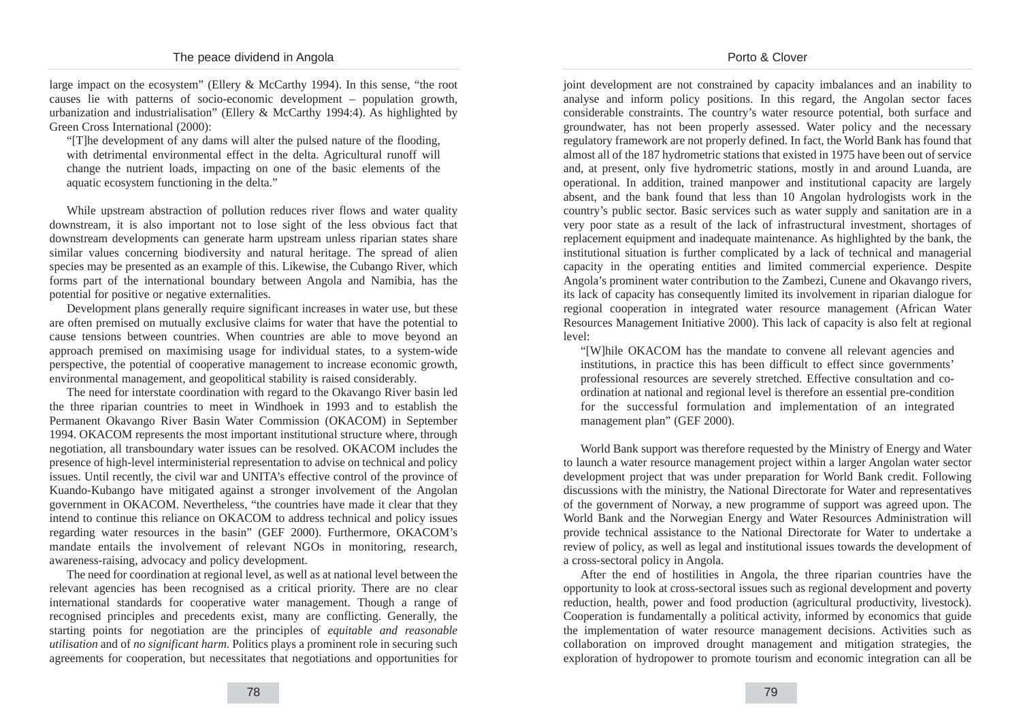large impact on the ecosystem" (Ellery & McCarthy 1994). In this sense, "the root causes lie with patterns of socio-economic development – population growth, urbanization and industrialisation" (Ellery & McCarthy 1994:4). As highlighted by Green Cross International (2000):

"[T]he development of any dams will alter the pulsed nature of the flooding, with detrimental environmental effect in the delta. Agricultural runoff will change the nutrient loads, impacting on one of the basic elements of the aquatic ecosystem functioning in the delta."

While upstream abstraction of pollution reduces river flows and water quality downstream, it is also important not to lose sight of the less obvious fact that downstream developments can generate harm upstream unless riparian states share similar values concerning biodiversity and natural heritage. The spread of alien species may be presented as an example of this. Likewise, the Cubango River, which forms part of the international boundary between Angola and Namibia, has the potential for positive or negative externalities.

Development plans generally require significant increases in water use, but these are often premised on mutually exclusive claims for water that have the potential to cause tensions between countries. When countries are able to move beyond an approach premised on maximising usage for individual states, to a system-wide perspective, the potential of cooperative management to increase economic growth, environmental management, and geopolitical stability is raised considerably.

The need for interstate coordination with regard to the Okavango River basin led the three riparian countries to meet in Windhoek in 1993 and to establish the Permanent Okavango River Basin Water Commission (OKACOM) in September 1994. OKACOM represents the most important institutional structure where, through negotiation, all transboundary water issues can be resolved. OKACOM includes the presence of high-level interministerial representation to advise on technical and policy issues. Until recently, the civil war and UNITA's effective control of the province of Kuando-Kubango have mitigated against a stronger involvement of the Angolan government in OKACOM. Nevertheless, "the countries have made it clear that they intend to continue this reliance on OKACOM to address technical and policy issues regarding water resources in the basin" (GEF 2000). Furthermore, OKACOM's mandate entails the involvement of relevant NGOs in monitoring, research, awareness-raising, advocacy and policy development.

The need for coordination at regional level, as well as at national level between the relevant agencies has been recognised as a critical priority. There are no clear international standards for cooperative water management. Though a range of recognised principles and precedents exist, many are conflicting. Generally, the starting points for negotiation are the principles of *equitable and reasonable utilisation* and of *no significant harm*. Politics plays a prominent role in securing such agreements for cooperation, but necessitates that negotiations and opportunities for joint development are not constrained by capacity imbalances and an inability to analyse and inform policy positions. In this regard, the Angolan sector faces considerable constraints. The country's water resource potential, both surface and groundwater, has not been properly assessed. Water policy and the necessary regulatory framework are not properly defined. In fact, the World Bank has found that almost all of the 187 hydrometric stations that existed in 1975 have been out of service and, at present, only five hydrometric stations, mostly in and around Luanda, are operational. In addition, trained manpower and institutional capacity are largely absent, and the bank found that less than 10 Angolan hydrologists work in the country's public sector. Basic services such as water supply and sanitation are in a very poor state as a result of the lack of infrastructural investment, shortages of replacement equipment and inadequate maintenance. As highlighted by the bank, the institutional situation is further complicated by a lack of technical and managerial capacity in the operating entities and limited commercial experience. Despite Angola's prominent water contribution to the Zambezi, Cunene and Okavango rivers, its lack of capacity has consequently limited its involvement in riparian dialogue for regional cooperation in integrated water resource management (African Water Resources Management Initiative 2000). This lack of capacity is also felt at regional level:

"[W]hile OKACOM has the mandate to convene all relevant agencies and institutions, in practice this has been difficult to effect since governments' professional resources are severely stretched. Effective consultation and coordination at national and regional level is therefore an essential pre-condition for the successful formulation and implementation of an integrated management plan" (GEF 2000).

World Bank support was therefore requested by the Ministry of Energy and Water to launch a water resource management project within a larger Angolan water sector development project that was under preparation for World Bank credit. Following discussions with the ministry, the National Directorate for Water and representatives of the government of Norway, a new programme of support was agreed upon. The World Bank and the Norwegian Energy and Water Resources Administration will provide technical assistance to the National Directorate for Water to undertake a review of policy, as well as legal and institutional issues towards the development of a cross-sectoral policy in Angola.

After the end of hostilities in Angola, the three riparian countries have the opportunity to look at cross-sectoral issues such as regional development and poverty reduction, health, power and food production (agricultural productivity, livestock). Cooperation is fundamentally a political activity, informed by economics that guide the implementation of water resource management decisions. Activities such as collaboration on improved drought management and mitigation strategies, the exploration of hydropower to promote tourism and economic integration can all be